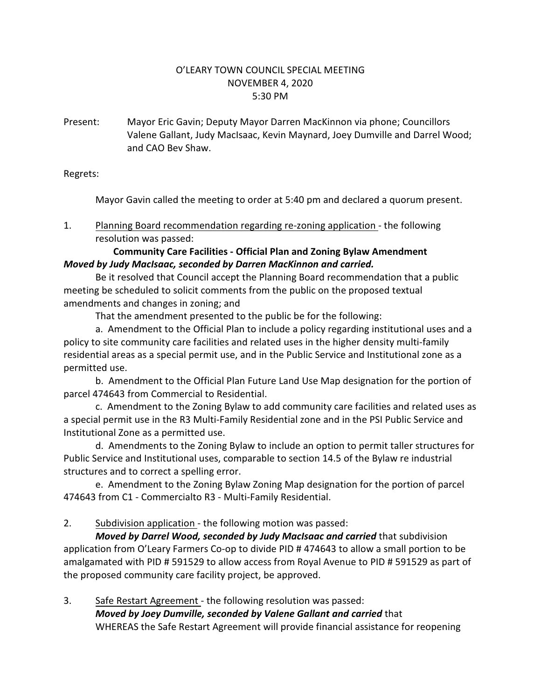## O'LEARY TOWN COUNCIL SPECIAL MEETING NOVEMBER 4, 2020 5:30 PM

Present: Mayor Eric Gavin; Deputy Mayor Darren MacKinnon via phone; Councillors Valene Gallant, Judy MacIsaac, Kevin Maynard, Joey Dumville and Darrel Wood; and CAO Bev Shaw.

Regrets:

Mayor Gavin called the meeting to order at 5:40 pm and declared a quorum present.

1. Planning Board recommendation regarding re-zoning application - the following resolution was passed:

## **Community Care Facilities - Official Plan and Zoning Bylaw Amendment** *Moved by Judy MacIsaac, seconded by Darren MacKinnon and carried.*

Be it resolved that Council accept the Planning Board recommendation that a public meeting be scheduled to solicit comments from the public on the proposed textual amendments and changes in zoning; and

That the amendment presented to the public be for the following:

a. Amendment to the Official Plan to include a policy regarding institutional uses and a policy to site community care facilities and related uses in the higher density multi-family residential areas as a special permit use, and in the Public Service and Institutional zone as a permitted use.

b. Amendment to the Official Plan Future Land Use Map designation for the portion of parcel 474643 from Commercial to Residential.

c. Amendment to the Zoning Bylaw to add community care facilities and related uses as a special permit use in the R3 Multi-Family Residential zone and in the PSI Public Service and Institutional Zone as a permitted use.

d. Amendments to the Zoning Bylaw to include an option to permit taller structures for Public Service and Institutional uses, comparable to section 14.5 of the Bylaw re industrial structures and to correct a spelling error.

e. Amendment to the Zoning Bylaw Zoning Map designation for the portion of parcel 474643 from C1 - Commercialto R3 - Multi-Family Residential.

2. Subdivision application - the following motion was passed:

*Moved by Darrel Wood, seconded by Judy MacIsaac and carried that subdivision* application from O'Leary Farmers Co-op to divide PID # 474643 to allow a small portion to be amalgamated with PID # 591529 to allow access from Royal Avenue to PID # 591529 as part of the proposed community care facility project, be approved.

3. Safe Restart Agreement - the following resolution was passed: *Moved by Joey Dumville, seconded by Valene Gallant and carried* that WHEREAS the Safe Restart Agreement will provide financial assistance for reopening